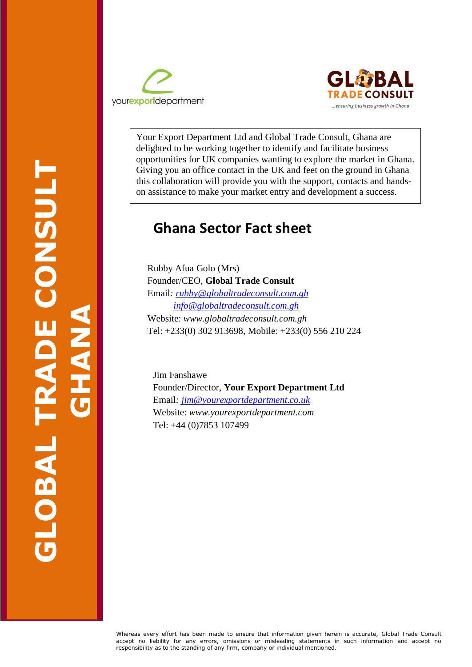



Your Export Department Ltd and Global Trade Consult, Ghana are delighted to be working together to identify and facilitate business opportunities for UK companies wanting to explore the market in Ghana. Giving you an office contact in the UK and feet on the ground in Ghana this collaboration will provide you with the support, contacts and handson assistance to make your market entry and development a success.

# **Ghana Sector Fact sheet**

 Rubby Afua Golo (Mrs) Tel: +233(0) 302 913698, Mobile: +233(0) 556 210 224 Founder/CEO, **Global Trade Consult** Email*: [rubby@globaltradeconsult.com.gh](mailto:rubby@globaltradeconsult.com.gh) [info@globaltradeconsult.com.gh](mailto:info@globaltradeconsult.com.gh)* Website: *www.globaltradeconsult.com.gh*

 Website: *www.yourexportdepartment.com* Jim Fanshawe Founder/Director, **Your Export Department Ltd** Email*: [jim@yourexportdepartment.co.uk](mailto:jim@yourexportdepartment.co.uk)*  Tel: +44 (0)7853 107499

Whereas every effort has been made to ensure that information given herein is accurate, Global Trade Consult accept no liability for any errors, omissions or misleading statements in such information and accept no responsibility as to the standing of any firm, company or individual mentioned.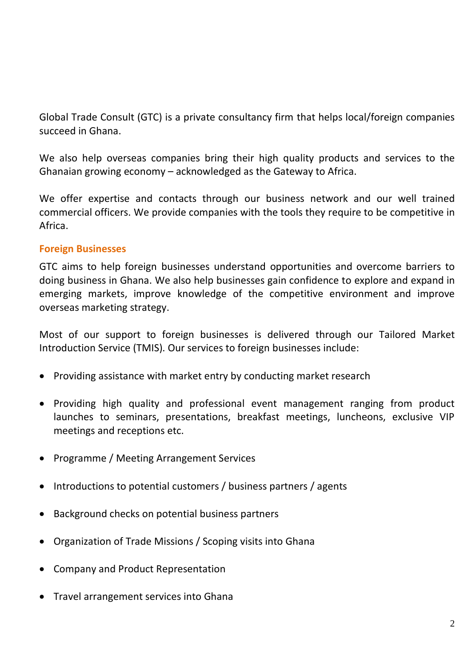Global Trade Consult (GTC) is a private consultancy firm that helps local/foreign companies succeed in Ghana.

We also help overseas companies bring their high quality products and services to the Ghanaian growing economy – acknowledged as the Gateway to Africa.

We offer expertise and contacts through our business network and our well trained commercial officers. We provide companies with the tools they require to be competitive in Africa.

## **Foreign Businesses**

GTC aims to help foreign businesses understand opportunities and overcome barriers to doing business in Ghana. We also help businesses gain confidence to explore and expand in emerging markets, improve knowledge of the competitive environment and improve overseas marketing strategy.

Most of our support to foreign businesses is delivered through our Tailored Market Introduction Service (TMIS). Our services to foreign businesses include:

- Providing assistance with market entry by conducting market research
- Providing high quality and professional event management ranging from product launches to seminars, presentations, breakfast meetings, luncheons, exclusive VIP meetings and receptions etc.
- Programme / Meeting Arrangement Services
- Introductions to potential customers / business partners / agents
- Background checks on potential business partners
- Organization of Trade Missions / Scoping visits into Ghana
- Company and Product Representation
- Travel arrangement services into Ghana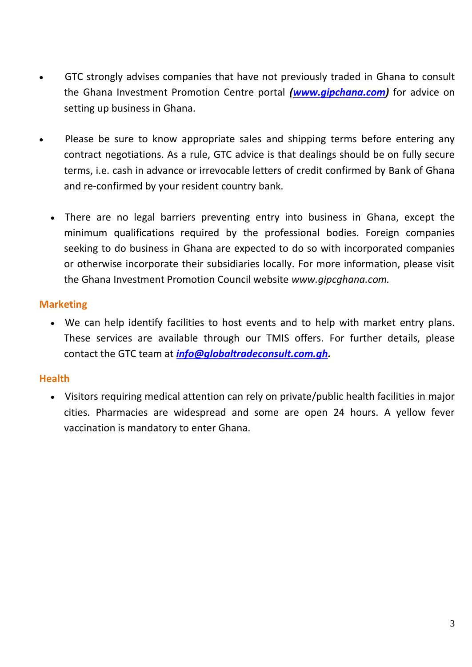- GTC strongly advises companies that have not previously traded in Ghana to consult the Ghana Investment Promotion Centre portal *[\(www.gipchana.com\)](http://www.gipchana.com/)* for advice on setting up business in Ghana.
- Please be sure to know appropriate sales and shipping terms before entering any contract negotiations. As a rule, GTC advice is that dealings should be on fully secure terms, i.e. cash in advance or irrevocable letters of credit confirmed by Bank of Ghana and re-confirmed by your resident country bank.
	- There are no legal barriers preventing entry into business in Ghana, except the minimum qualifications required by the professional bodies. Foreign companies seeking to do business in Ghana are expected to do so with incorporated companies or otherwise incorporate their subsidiaries locally. For more information, please visit the Ghana Investment Promotion Council website *www.gipcghana.com.*

## **Marketing**

• We can help identify facilities to host events and to help with market entry plans. These services are available through our TMIS offers. For further details, please contact the GTC team at *[info@globaltradeconsult.com.gh.](mailto:info@globaltradeconsult.com.gh)* 

## **Health**

• Visitors requiring medical attention can rely on private/public health facilities in major cities. Pharmacies are widespread and some are open 24 hours. A yellow fever vaccination is mandatory to enter Ghana.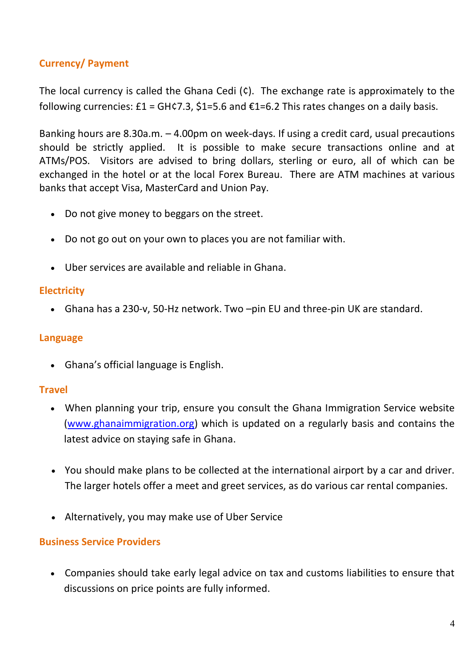# **Currency/ Payment**

The local currency is called the Ghana Cedi  $(\hat{c})$ . The exchange rate is approximately to the following currencies:  $E1 = GH \zeta$ 7.3,  $\zeta$ 1=5.6 and  $E1 = 6.2$  This rates changes on a daily basis.

Banking hours are 8.30a.m. – 4.00pm on week-days. If using a credit card, usual precautions should be strictly applied. It is possible to make secure transactions online and at ATMs/POS. Visitors are advised to bring dollars, sterling or euro, all of which can be exchanged in the hotel or at the local Forex Bureau. There are ATM machines at various banks that accept Visa, MasterCard and Union Pay.

- Do not give money to beggars on the street.
- Do not go out on your own to places you are not familiar with.
- Uber services are available and reliable in Ghana.

## **Electricity**

• Ghana has a 230-v, 50-Hz network. Two –pin EU and three-pin UK are standard.

## **Language**

• Ghana's official language is English.

### **Travel**

- When planning your trip, ensure you consult the Ghana Immigration Service website [\(www.ghanaimmigration.org\)](http://www.ghanaimmigration.org/) which is updated on a regularly basis and contains the latest advice on staying safe in Ghana.
- You should make plans to be collected at the international airport by a car and driver. The larger hotels offer a meet and greet services, as do various car rental companies.
- Alternatively, you may make use of Uber Service

### **Business Service Providers**

• Companies should take early legal advice on tax and customs liabilities to ensure that discussions on price points are fully informed.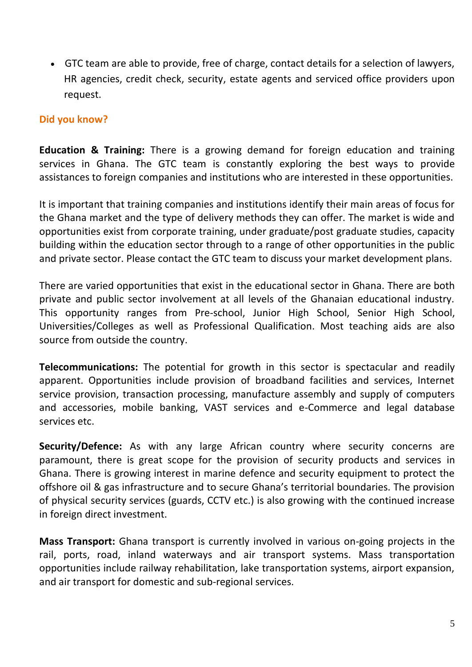• GTC team are able to provide, free of charge, contact details for a selection of lawyers, HR agencies, credit check, security, estate agents and serviced office providers upon request.

## **Did you know?**

**Education & Training:** There is a growing demand for foreign education and training services in Ghana. The GTC team is constantly exploring the best ways to provide assistances to foreign companies and institutions who are interested in these opportunities.

It is important that training companies and institutions identify their main areas of focus for the Ghana market and the type of delivery methods they can offer. The market is wide and opportunities exist from corporate training, under graduate/post graduate studies, capacity building within the education sector through to a range of other opportunities in the public and private sector. Please contact the GTC team to discuss your market development plans.

There are varied opportunities that exist in the educational sector in Ghana. There are both private and public sector involvement at all levels of the Ghanaian educational industry. This opportunity ranges from Pre-school, Junior High School, Senior High School, Universities/Colleges as well as Professional Qualification. Most teaching aids are also source from outside the country.

**Telecommunications:** The potential for growth in this sector is spectacular and readily apparent. Opportunities include provision of broadband facilities and services, Internet service provision, transaction processing, manufacture assembly and supply of computers and accessories, mobile banking, VAST services and e-Commerce and legal database services etc.

**Security/Defence:** As with any large African country where security concerns are paramount, there is great scope for the provision of security products and services in Ghana. There is growing interest in marine defence and security equipment to protect the offshore oil & gas infrastructure and to secure Ghana's territorial boundaries. The provision of physical security services (guards, CCTV etc.) is also growing with the continued increase in foreign direct investment.

**Mass Transport:** Ghana transport is currently involved in various on-going projects in the rail, ports, road, inland waterways and air transport systems. Mass transportation opportunities include railway rehabilitation, lake transportation systems, airport expansion, and air transport for domestic and sub-regional services.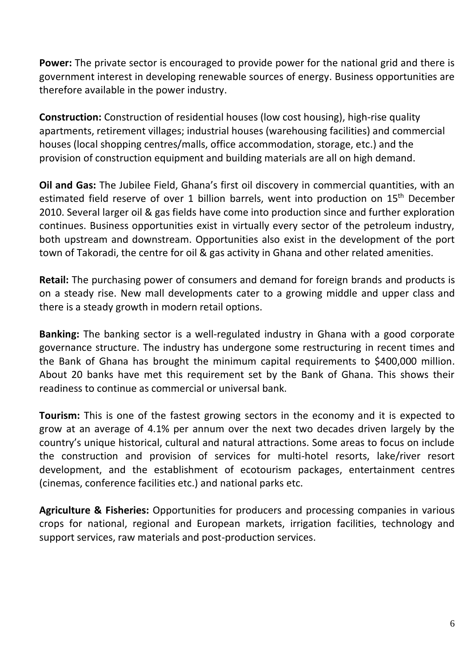**Power:** The private sector is encouraged to provide power for the national grid and there is government interest in developing renewable sources of energy. Business opportunities are therefore available in the power industry.

**Construction:** Construction of residential houses (low cost housing), high-rise quality apartments, retirement villages; industrial houses (warehousing facilities) and commercial houses (local shopping centres/malls, office accommodation, storage, etc.) and the provision of construction equipment and building materials are all on high demand.

**Oil and Gas:** The Jubilee Field, Ghana's first oil discovery in commercial quantities, with an estimated field reserve of over 1 billion barrels, went into production on 15<sup>th</sup> December 2010. Several larger oil & gas fields have come into production since and further exploration continues. Business opportunities exist in virtually every sector of the petroleum industry, both upstream and downstream. Opportunities also exist in the development of the port town of Takoradi, the centre for oil & gas activity in Ghana and other related amenities.

**Retail:** The purchasing power of consumers and demand for foreign brands and products is on a steady rise. New mall developments cater to a growing middle and upper class and there is a steady growth in modern retail options.

**Banking:** The banking sector is a well-regulated industry in Ghana with a good corporate governance structure. The industry has undergone some restructuring in recent times and the Bank of Ghana has brought the minimum capital requirements to \$400,000 million. About 20 banks have met this requirement set by the Bank of Ghana. This shows their readiness to continue as commercial or universal bank.

**Tourism:** This is one of the fastest growing sectors in the economy and it is expected to grow at an average of 4.1% per annum over the next two decades driven largely by the country's unique historical, cultural and natural attractions. Some areas to focus on include the construction and provision of services for multi-hotel resorts, lake/river resort development, and the establishment of ecotourism packages, entertainment centres (cinemas, conference facilities etc.) and national parks etc.

**Agriculture & Fisheries:** Opportunities for producers and processing companies in various crops for national, regional and European markets, irrigation facilities, technology and support services, raw materials and post-production services.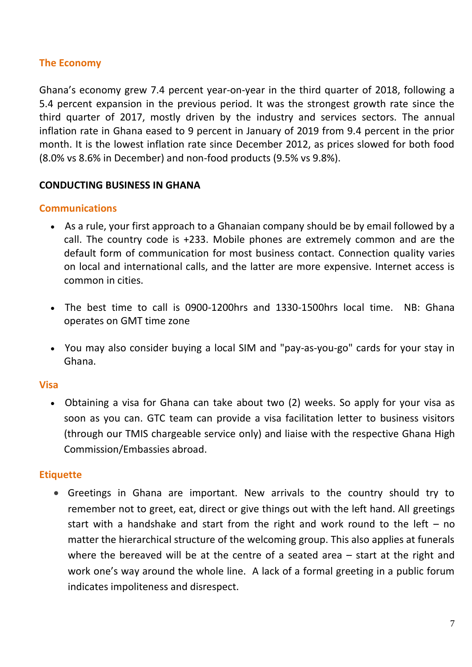## **The Economy**

Ghana's economy grew 7.4 percent year-on-year in the third quarter of 2018, following a 5.4 percent expansion in the previous period. It was the strongest growth rate since the third quarter of 2017, mostly driven by the industry and services sectors. The annual inflation rate in Ghana eased to 9 percent in January of 2019 from 9.4 percent in the prior month. It is the lowest inflation rate since December 2012, as prices slowed for both food (8.0% vs 8.6% in December) and non-food products (9.5% vs 9.8%).

### **CONDUCTING BUSINESS IN GHANA**

#### **Communications**

- As a rule, your first approach to a Ghanaian company should be by email followed by a call. The country code is +233. Mobile phones are extremely common and are the default form of communication for most business contact. Connection quality varies on local and international calls, and the latter are more expensive. Internet access is common in cities.
- The best time to call is 0900-1200hrs and 1330-1500hrs local time. NB: Ghana operates on GMT time zone
- You may also consider buying a local SIM and "pay-as-you-go" cards for your stay in Ghana.

#### **Visa**

• Obtaining a visa for Ghana can take about two (2) weeks. So apply for your visa as soon as you can. GTC team can provide a visa facilitation letter to business visitors (through our TMIS chargeable service only) and liaise with the respective Ghana High Commission/Embassies abroad.

#### **Etiquette**

• Greetings in Ghana are important. New arrivals to the country should try to remember not to greet, eat, direct or give things out with the left hand. All greetings start with a handshake and start from the right and work round to the left  $-$  no matter the hierarchical structure of the welcoming group. This also applies at funerals where the bereaved will be at the centre of a seated area – start at the right and work one's way around the whole line. A lack of a formal greeting in a public forum indicates impoliteness and disrespect.